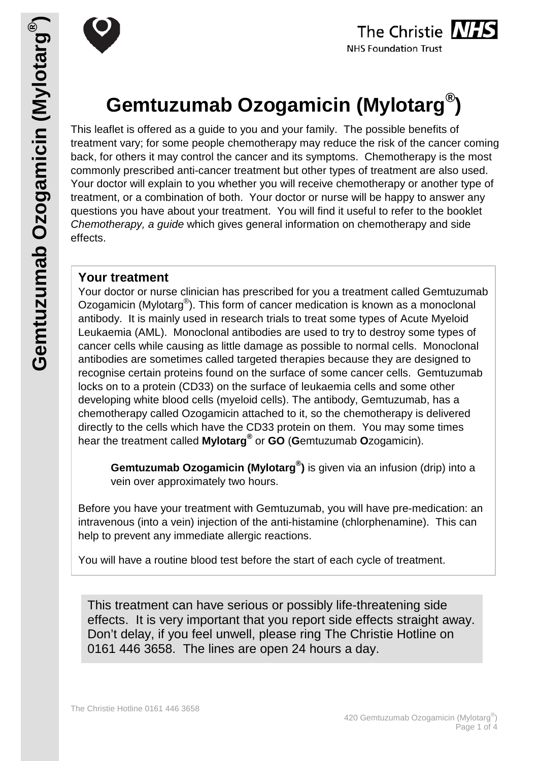

# **Gemtuzumab Ozogamicin (Mylotarg®)**

This leaflet is offered as a guide to you and your family. The possible benefits of treatment vary; for some people chemotherapy may reduce the risk of the cancer coming back, for others it may control the cancer and its symptoms. Chemotherapy is the most commonly prescribed anti-cancer treatment but other types of treatment are also used. Your doctor will explain to you whether you will receive chemotherapy or another type of treatment, or a combination of both. Your doctor or nurse will be happy to answer any questions you have about your treatment. You will find it useful to refer to the booklet *Chemotherapy, a guide* which gives general information on chemotherapy and side effects.

## **Your treatment**

Your doctor or nurse clinician has prescribed for you a treatment called Gemtuzumab Ozogamicin (Mylotarg<sup>®</sup>). This form of cancer medication is known as a monoclonal antibody. It is mainly used in research trials to treat some types of Acute Myeloid Leukaemia (AML). Monoclonal antibodies are used to try to destroy some types of cancer cells while causing as little damage as possible to normal cells. Monoclonal antibodies are sometimes called targeted therapies because they are designed to recognise certain proteins found on the surface of some cancer cells. Gemtuzumab locks on to a protein (CD33) on the surface of leukaemia cells and some other developing white blood cells (myeloid cells). The antibody, Gemtuzumab, has a chemotherapy called Ozogamicin attached to it, so the chemotherapy is delivered directly to the cells which have the CD33 protein on them. You may some times hear the treatment called **Mylotarg®** or **GO** (**G**emtuzumab **O**zogamicin).

**Gemtuzumab Ozogamicin (Mylotarg® )** is given via an infusion (drip) into a vein over approximately two hours.

Before you have your treatment with Gemtuzumab, you will have pre-medication: an intravenous (into a vein) injection of the anti-histamine (chlorphenamine). This can help to prevent any immediate allergic reactions.

You will have a routine blood test before the start of each cycle of treatment.

This treatment can have serious or possibly life-threatening side effects. It is very important that you report side effects straight away. Don't delay, if you feel unwell, please ring The Christie Hotline on 0161 446 3658. The lines are open 24 hours a day.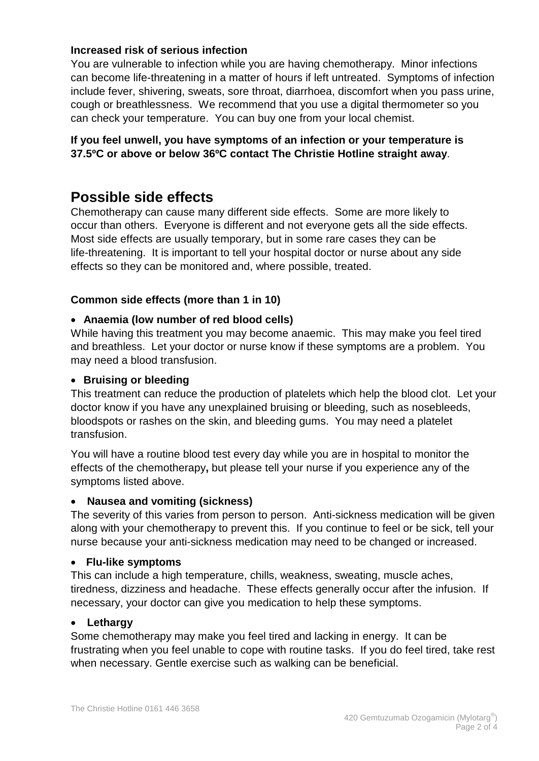## **Increased risk of serious infection**

You are vulnerable to infection while you are having chemotherapy. Minor infections can become life-threatening in a matter of hours if left untreated. Symptoms of infection include fever, shivering, sweats, sore throat, diarrhoea, discomfort when you pass urine, cough or breathlessness. We recommend that you use a digital thermometer so you can check your temperature. You can buy one from your local chemist.

## **If you feel unwell, you have symptoms of an infection or your temperature is 37.5ºC or above or below 36ºC contact The Christie Hotline straight away**.

# **Possible side effects**

Chemotherapy can cause many different side effects. Some are more likely to occur than others. Everyone is different and not everyone gets all the side effects. Most side effects are usually temporary, but in some rare cases they can be life-threatening. It is important to tell your hospital doctor or nurse about any side effects so they can be monitored and, where possible, treated.

## **Common side effects (more than 1 in 10)**

### • **Anaemia (low number of red blood cells)**

While having this treatment you may become anaemic. This may make you feel tired and breathless. Let your doctor or nurse know if these symptoms are a problem. You may need a blood transfusion.

#### • **Bruising or bleeding**

This treatment can reduce the production of platelets which help the blood clot. Let your doctor know if you have any unexplained bruising or bleeding, such as nosebleeds, bloodspots or rashes on the skin, and bleeding gums. You may need a platelet transfusion.

You will have a routine blood test every day while you are in hospital to monitor the effects of the chemotherapy**,** but please tell your nurse if you experience any of the symptoms listed above.

#### • **Nausea and vomiting (sickness)**

The severity of this varies from person to person. Anti-sickness medication will be given along with your chemotherapy to prevent this. If you continue to feel or be sick, tell your nurse because your anti-sickness medication may need to be changed or increased.

#### • **Flu-like symptoms**

This can include a high temperature, chills, weakness, sweating, muscle aches, tiredness, dizziness and headache. These effects generally occur after the infusion. If necessary, your doctor can give you medication to help these symptoms.

#### • **Lethargy**

Some chemotherapy may make you feel tired and lacking in energy. It can be frustrating when you feel unable to cope with routine tasks. If you do feel tired, take rest when necessary. Gentle exercise such as walking can be beneficial.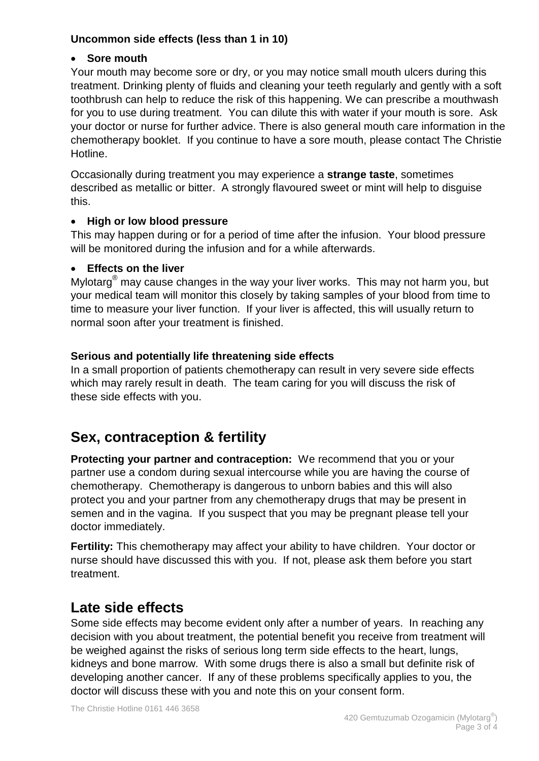## **Uncommon side effects (less than 1 in 10)**

## • **Sore mouth**

Your mouth may become sore or dry, or you may notice small mouth ulcers during this treatment. Drinking plenty of fluids and cleaning your teeth regularly and gently with a soft toothbrush can help to reduce the risk of this happening. We can prescribe a mouthwash for you to use during treatment. You can dilute this with water if your mouth is sore. Ask your doctor or nurse for further advice. There is also general mouth care information in the chemotherapy booklet. If you continue to have a sore mouth, please contact The Christie Hotline.

Occasionally during treatment you may experience a **strange taste**, sometimes described as metallic or bitter. A strongly flavoured sweet or mint will help to disguise this.

## • **High or low blood pressure**

This may happen during or for a period of time after the infusion. Your blood pressure will be monitored during the infusion and for a while afterwards.

## • **Effects on the liver**

Mylotarg<sup>®</sup> may cause changes in the way your liver works. This may not harm you, but your medical team will monitor this closely by taking samples of your blood from time to time to measure your liver function. If your liver is affected, this will usually return to normal soon after your treatment is finished.

## **Serious and potentially life threatening side effects**

In a small proportion of patients chemotherapy can result in very severe side effects which may rarely result in death. The team caring for you will discuss the risk of these side effects with you.

# **Sex, contraception & fertility**

**Protecting your partner and contraception:** We recommend that you or your partner use a condom during sexual intercourse while you are having the course of chemotherapy. Chemotherapy is dangerous to unborn babies and this will also protect you and your partner from any chemotherapy drugs that may be present in semen and in the vagina. If you suspect that you may be pregnant please tell your doctor immediately.

**Fertility:** This chemotherapy may affect your ability to have children. Your doctor or nurse should have discussed this with you. If not, please ask them before you start treatment.

# **Late side effects**

Some side effects may become evident only after a number of years. In reaching any decision with you about treatment, the potential benefit you receive from treatment will be weighed against the risks of serious long term side effects to the heart, lungs, kidneys and bone marrow. With some drugs there is also a small but definite risk of developing another cancer. If any of these problems specifically applies to you, the doctor will discuss these with you and note this on your consent form.